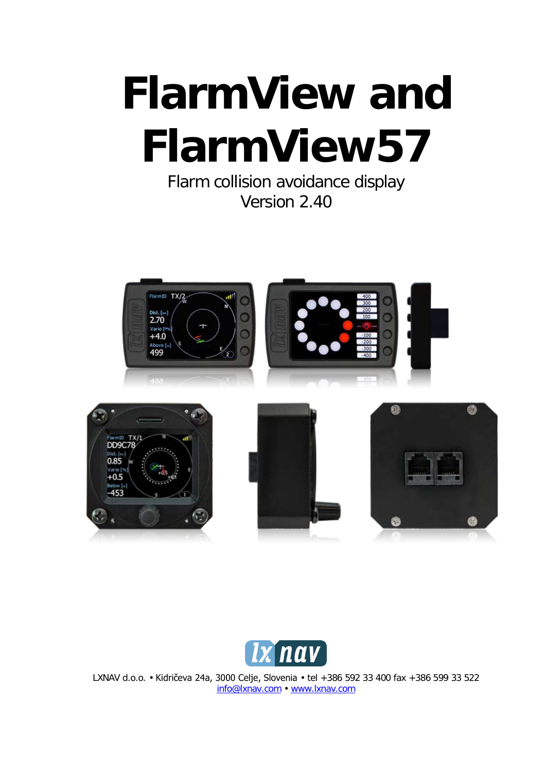# **FlarmView and FlarmView57**

Flarm collision avoidance display Version 2.40





LXNAV d.o.o. • Kidričeva 24a, 3000 Celje, Slovenia • tel +386 592 33 400 fax +386 599 33 522 [info@lxnav.com](mailto:support@lxnavigation.si) • www.lxnav.com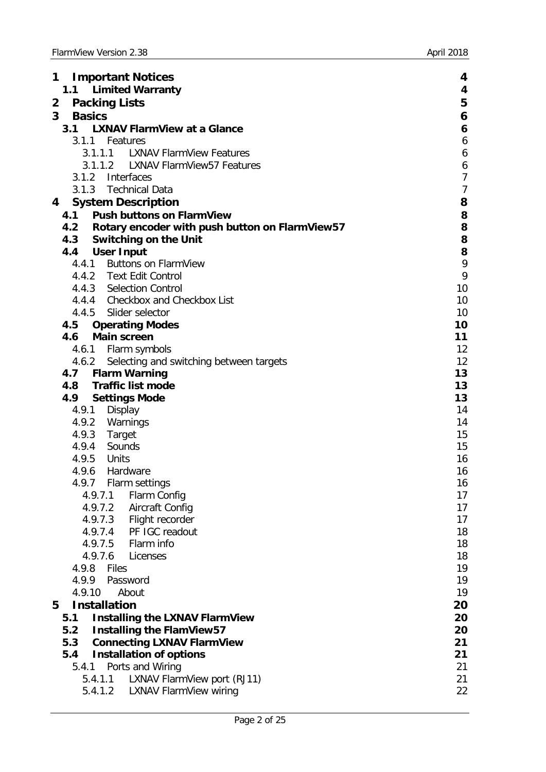| 1 | <b>Important Notices</b>                           | 4                |
|---|----------------------------------------------------|------------------|
|   | <b>Limited Warranty</b><br>1.1                     | 4                |
| 2 | <b>Packing Lists</b>                               | 5                |
| 3 | <b>Basics</b>                                      | 6                |
|   | <b>LXNAV FlarmView at a Glance</b><br>3.1          | 6                |
|   | 3.1.1<br>Features                                  | $\boldsymbol{6}$ |
|   | <b>LXNAV FlarmView Features</b><br>3.1.1.1         | 6                |
|   | <b>LXNAV FlarmView57 Features</b><br>3.1.1.2       | 6                |
|   | 3.1.2 Interfaces                                   | $\overline{7}$   |
|   | 3.1.3<br>Technical Data                            | $\overline{7}$   |
| 4 | <b>System Description</b>                          | 8                |
|   | <b>Push buttons on FlarmView</b><br>4.1            | 8                |
|   | 4.2 Rotary encoder with push button on FlarmView57 | 8                |
|   | 4.3<br><b>Switching on the Unit</b>                | 8                |
|   | <b>User Input</b><br>4.4                           | 8                |
|   | 4.4.1 Buttons on FlarmView                         | 9                |
|   | 4.4.2 Text Edit Control                            | 9                |
|   | 4.4.3 Selection Control                            | 10               |
|   | 4.4.4 Checkbox and Checkbox List                   | 10               |
|   | 4.4.5 Slider selector                              | 10               |
|   | <b>Operating Modes</b><br>4.5                      | 10               |
|   | <b>Main screen</b><br>4.6                          | 11               |
|   | 4.6.1 Flarm symbols                                | 12               |
|   | Selecting and switching between targets<br>4.6.2   | 12               |
|   | <b>Flarm Warning</b><br>4.7                        | 13               |
|   | <b>Traffic list mode</b><br>4.8                    | 13               |
|   | <b>Settings Mode</b><br>4.9                        | 13               |
|   | Display<br>4.9.1                                   | 14               |
|   | Warnings<br>4.9.2                                  | 14               |
|   | 4.9.3<br>Target<br>4.9.4 Sounds                    | 15<br>15         |
|   | 4.9.5<br>Units                                     | 16               |
|   | Hardware<br>4.9.6                                  | 16               |
|   | 4.9.7 Flarm settings                               | 16               |
|   | 4.9.7.1<br>Flarm Config                            | 17               |
|   | Aircraft Config<br>4.9.7.2                         | 17               |
|   | 4.9.7.3<br>Flight recorder                         | 17               |
|   | PF IGC readout<br>4.9.7.4                          | 18               |
|   | 4.9.7.5<br>Flarm info                              | 18               |
|   | 4.9.7.6<br>Licenses                                | 18               |
|   | 4.9.8 Files                                        | 19               |
|   | 4.9.9<br>Password                                  | 19               |
|   | 4.9.10<br>About                                    | 19               |
| 5 | <b>Installation</b>                                | 20               |
|   | 5.1<br><b>Installing the LXNAV FlarmView</b>       | 20               |
|   | <b>Installing the FlamView57</b><br>5.2            | 20               |
|   | <b>Connecting LXNAV FlarmView</b><br>5.3           | 21               |
|   | 5.4<br><b>Installation of options</b>              | 21               |
|   | Ports and Wiring<br>5.4.1                          | 21               |
|   | LXNAV FlarmView port (RJ11)<br>5.4.1.1             | 21               |
|   | 5.4.1.2<br><b>LXNAV FlarmView wiring</b>           | 22               |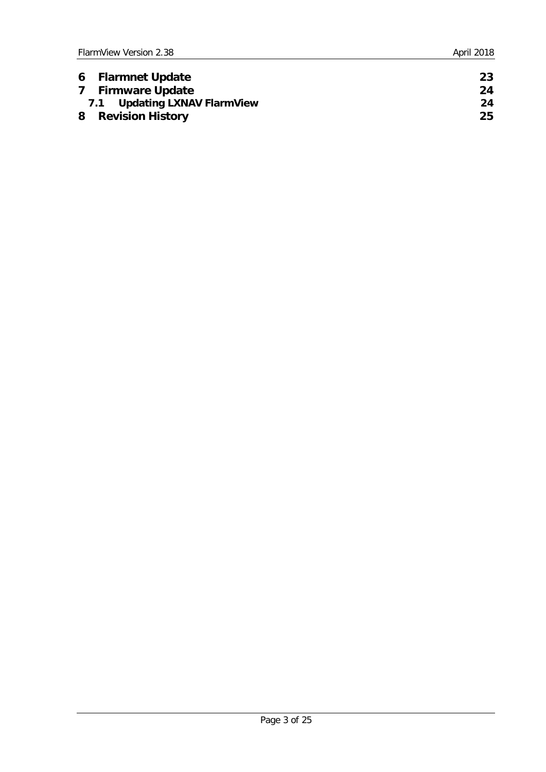| 6 Flarmnet Update            | 23 |
|------------------------------|----|
| 7 Firmware Update            | 24 |
| 7.1 Updating LXNAV FlarmView | 24 |
| 8 Revision History           | 25 |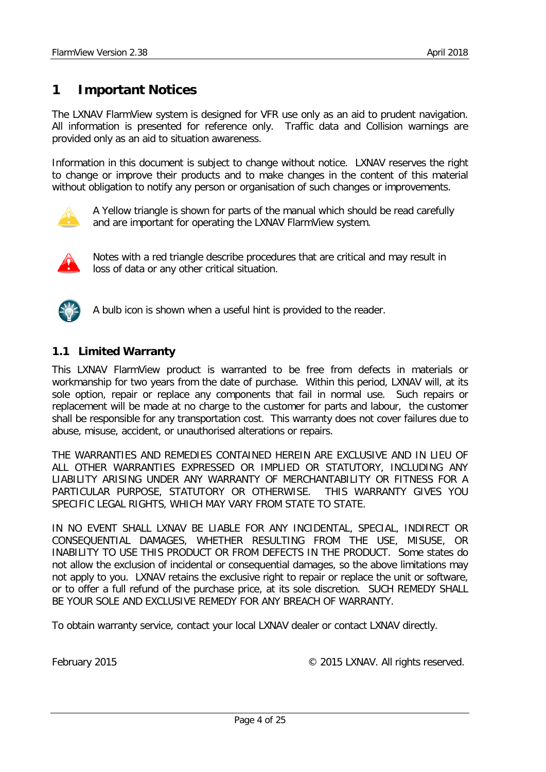# <span id="page-3-0"></span>**1 Important Notices**

The LXNAV FlarmView system is designed for VFR use only as an aid to prudent navigation. All information is presented for reference only. Traffic data and Collision warnings are provided only as an aid to situation awareness.

Information in this document is subject to change without notice. LXNAV reserves the right to change or improve their products and to make changes in the content of this material without obligation to notify any person or organisation of such changes or improvements.



A Yellow triangle is shown for parts of the manual which should be read carefully and are important for operating the LXNAV FlarmView system.



Notes with a red triangle describe procedures that are critical and may result in loss of data or any other critical situation.



A bulb icon is shown when a useful hint is provided to the reader.

## <span id="page-3-1"></span>**1.1 Limited Warranty**

This LXNAV FlarmView product is warranted to be free from defects in materials or workmanship for two years from the date of purchase. Within this period, LXNAV will, at its sole option, repair or replace any components that fail in normal use. Such repairs or replacement will be made at no charge to the customer for parts and labour, the customer shall be responsible for any transportation cost. This warranty does not cover failures due to abuse, misuse, accident, or unauthorised alterations or repairs.

THE WARRANTIES AND REMEDIES CONTAINED HEREIN ARE EXCLUSIVE AND IN LIEU OF ALL OTHER WARRANTIES EXPRESSED OR IMPLIED OR STATUTORY, INCLUDING ANY LIABILITY ARISING UNDER ANY WARRANTY OF MERCHANTABILITY OR FITNESS FOR A PARTICULAR PURPOSE, STATUTORY OR OTHERWISE. THIS WARRANTY GIVES YOU SPECIFIC LEGAL RIGHTS, WHICH MAY VARY FROM STATE TO STATE.

IN NO EVENT SHALL LXNAV BE LIABLE FOR ANY INCIDENTAL, SPECIAL, INDIRECT OR CONSEQUENTIAL DAMAGES, WHETHER RESULTING FROM THE USE, MISUSE, OR INABILITY TO USE THIS PRODUCT OR FROM DEFECTS IN THE PRODUCT. Some states do not allow the exclusion of incidental or consequential damages, so the above limitations may not apply to you. LXNAV retains the exclusive right to repair or replace the unit or software, or to offer a full refund of the purchase price, at its sole discretion. SUCH REMEDY SHALL BE YOUR SOLE AND EXCLUSIVE REMEDY FOR ANY BREACH OF WARRANTY.

To obtain warranty service, contact your local LXNAV dealer or contact LXNAV directly.

February 2015 **February 2015** C 2015 LXNAV. All rights reserved.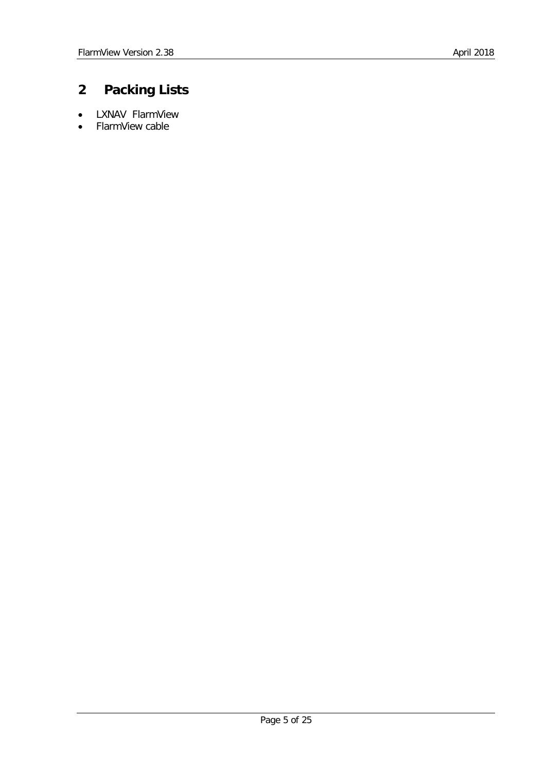# <span id="page-4-0"></span>**2 Packing Lists**

- LXNAV FlarmView
- FlarmView cable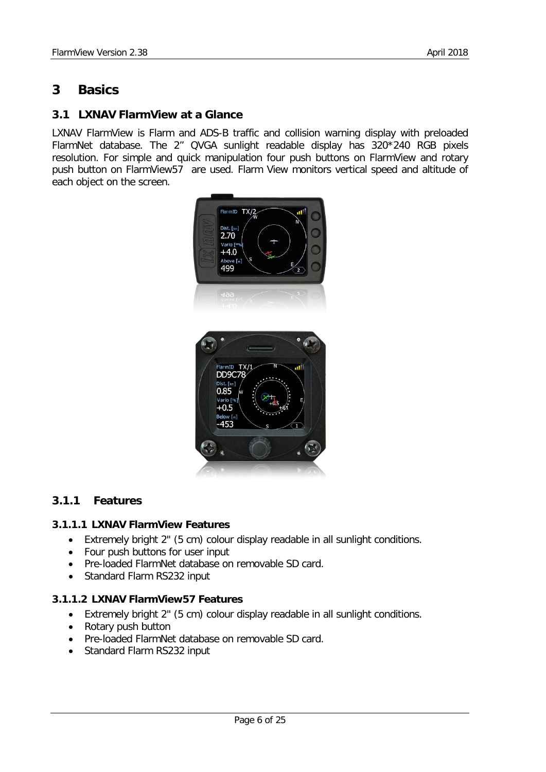# <span id="page-5-0"></span>**3 Basics**

# <span id="page-5-1"></span>**3.1 LXNAV FlarmView at a Glance**

LXNAV FlarmView is Flarm and ADS-B traffic and collision warning display with preloaded FlarmNet database. The 2'' QVGA sunlight readable display has 320\*240 RGB pixels resolution. For simple and quick manipulation four push buttons on FlarmView and rotary push button on FlarmView57 are used. Flarm View monitors vertical speed and altitude of each object on the screen.



# <span id="page-5-2"></span>**3.1.1 Features**

#### <span id="page-5-3"></span>**3.1.1.1 LXNAV FlarmView Features**

- Extremely bright 2" (5 cm) colour display readable in all sunlight conditions.
- Four push buttons for user input
- Pre-loaded FlarmNet database on removable SD card.
- Standard Flarm RS232 input

#### <span id="page-5-4"></span>**3.1.1.2 LXNAV FlarmView57 Features**

- Extremely bright 2" (5 cm) colour display readable in all sunlight conditions.
- Rotary push button
- Pre-loaded FlarmNet database on removable SD card.
- Standard Flarm RS232 input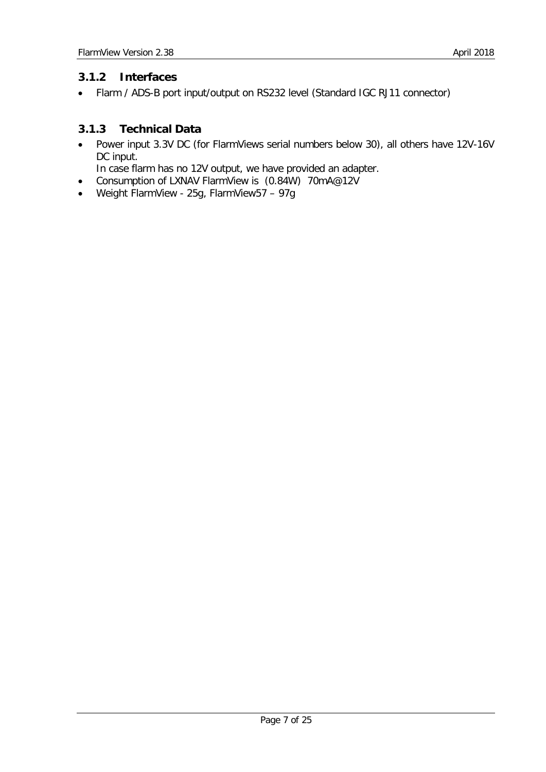# <span id="page-6-0"></span>**3.1.2 Interfaces**

• Flarm / ADS-B port input/output on RS232 level (Standard IGC RJ11 connector)

# <span id="page-6-1"></span>**3.1.3 Technical Data**

• Power input 3.3V DC (for FlarmViews serial numbers below 30), all others have 12V-16V DC input.

In case flarm has no 12V output, we have provided an adapter.

- Consumption of LXNAV FlarmView is (0.84W) 70mA@12V
- Weight FlarmView 25g, FlarmView57 97g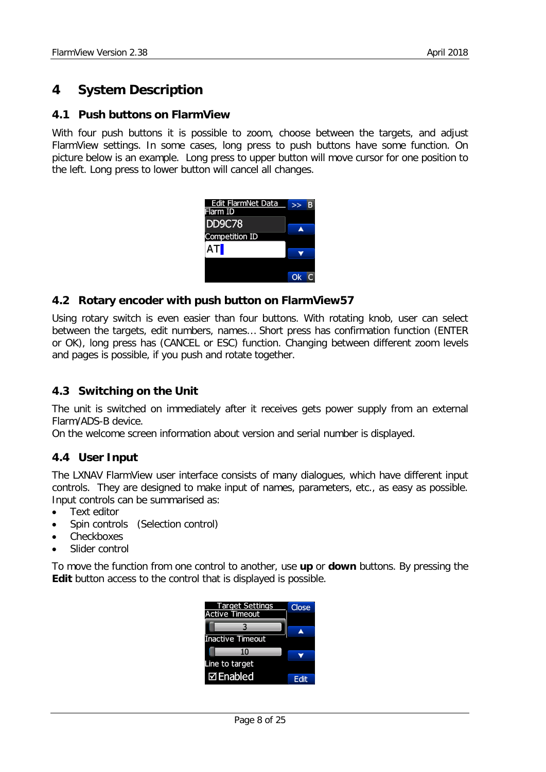# <span id="page-7-0"></span>**4 System Description**

#### <span id="page-7-1"></span>**4.1 Push buttons on FlarmView**

With four push buttons it is possible to zoom, choose between the targets, and adjust FlarmView settings. In some cases, long press to push buttons have some function. On picture below is an example. Long press to upper button will move cursor for one position to the left. Long press to lower button will cancel all changes.

| Edit FlarmNet Data<br>Flarm ID |    |
|--------------------------------|----|
| <b>DD9C78</b>                  |    |
| <b>Competition ID</b>          |    |
| AT                             |    |
|                                |    |
|                                | Ok |

## <span id="page-7-2"></span>**4.2 Rotary encoder with push button on FlarmView57**

Using rotary switch is even easier than four buttons. With rotating knob, user can select between the targets, edit numbers, names… Short press has confirmation function (ENTER or OK), long press has (CANCEL or ESC) function. Changing between different zoom levels and pages is possible, if you push and rotate together.

# <span id="page-7-3"></span>**4.3 Switching on the Unit**

The unit is switched on immediately after it receives gets power supply from an external Flarm/ADS-B device.

<span id="page-7-4"></span>On the welcome screen information about version and serial number is displayed.

# **4.4 User Input**

The LXNAV FlarmView user interface consists of many dialogues, which have different input controls. They are designed to make input of names, parameters, etc., as easy as possible. Input controls can be summarised as:

- Text editor
- Spin controls (Selection control)
- **Checkboxes**
- Slider control

To move the function from one control to another, use **up** or **down** buttons. By pressing the **Edit** button access to the control that is displayed is possible.

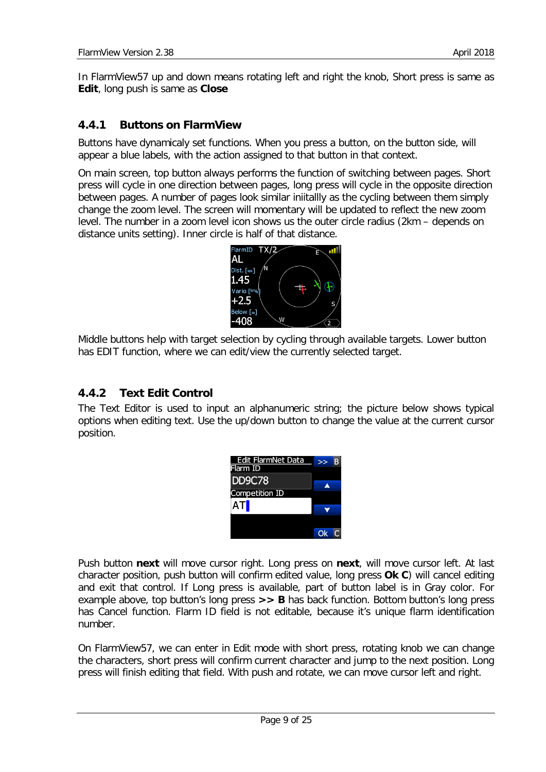In FlarmView57 up and down means rotating left and right the knob, Short press is same as **Edit**, long push is same as **Close**

## <span id="page-8-0"></span>**4.4.1 Buttons on FlarmView**

Buttons have dynamicaly set functions. When you press a button, on the button side, will appear a blue labels, with the action assigned to that button in that context.

On main screen, top button always performs the function of switching between pages. Short press will cycle in one direction between pages, long press will cycle in the opposite direction between pages. A number of pages look similar iniitallly as the cycling between them simply change the zoom level. The screen will momentary will be updated to reflect the new zoom level. The number in a zoom level icon shows us the outer circle radius (2km – depends on distance units setting). Inner circle is half of that distance.



Middle buttons help with target selection by cycling through available targets. Lower button has EDIT function, where we can edit/view the currently selected target.

#### <span id="page-8-1"></span>**4.4.2 Text Edit Control**

The Text Editor is used to input an alphanumeric string; the picture below shows typical options when editing text. Use the up/down button to change the value at the current cursor position.

| Edit FlarmNet Data<br>Flarm ID |  |
|--------------------------------|--|
| <b>DD9C78</b>                  |  |
| <b>Competition ID</b>          |  |
| ATI                            |  |
|                                |  |
|                                |  |

Push button **next** will move cursor right. Long press on **next**, will move cursor left. At last character position, push button will confirm edited value, long press **Ok C**) will cancel editing and exit that control. If Long press is available, part of button label is in Gray color. For example above, top button's long press **>> B** has back function. Bottom button's long press has Cancel function. Flarm ID field is not editable, because it's unique flarm identification number.

On FlarmView57, we can enter in Edit mode with short press, rotating knob we can change the characters, short press will confirm current character and jump to the next position. Long press will finish editing that field. With push and rotate, we can move cursor left and right.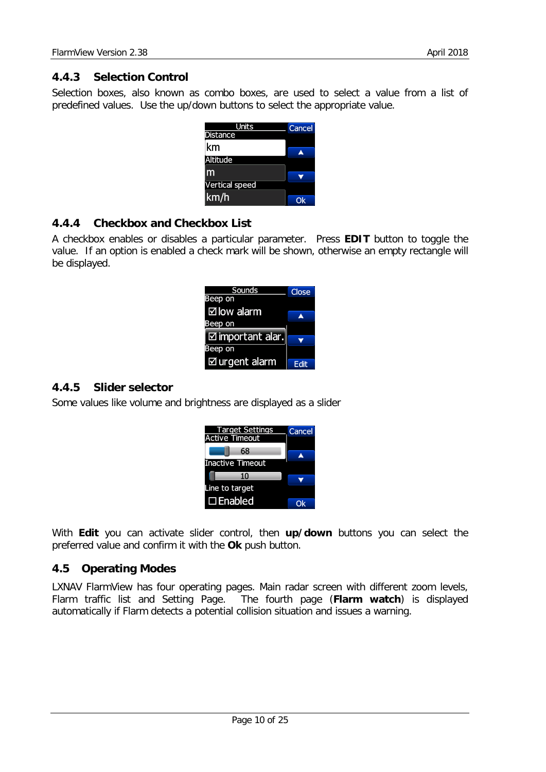# <span id="page-9-0"></span>**4.4.3 Selection Control**

Selection boxes, also known as combo boxes, are used to select a value from a list of predefined values. Use the up/down buttons to select the appropriate value.

| Units                 | Cancel |
|-----------------------|--------|
| <b>Distance</b>       |        |
| km                    |        |
| <b>Altitude</b>       |        |
|                       |        |
| <b>Vertical speed</b> |        |
| km/h                  |        |

# <span id="page-9-1"></span>**4.4.4 Checkbox and Checkbox List**

A checkbox enables or disables a particular parameter. Press **EDIT** button to toggle the value. If an option is enabled a check mark will be shown, otherwise an empty rectangle will be displayed.

| Sounds                      | Close       |
|-----------------------------|-------------|
| Beep on                     |             |
| $\boxtimes$ low alarm       | ◢           |
| Beep on                     |             |
| $\boxtimes$ important alar. |             |
| Beep on                     |             |
| $\boxtimes$ urgent alarm    | <b>Edit</b> |

# <span id="page-9-2"></span>**4.4.5 Slider selector**

Some values like volume and brightness are displayed as a slider

| <b>Target Settings</b><br><b>Active Timeout</b> | Cancel |
|-------------------------------------------------|--------|
| 68                                              |        |
| <b>Inactive Timeout</b>                         |        |
| 10                                              |        |
| Line to target                                  |        |
| $\square$ Enabled                               |        |

With **Edit** you can activate slider control, then **up/down** buttons you can select the preferred value and confirm it with the **Ok** push button.

# <span id="page-9-3"></span>**4.5 Operating Modes**

LXNAV FlarmView has four operating pages. Main radar screen with different zoom levels, Flarm traffic list and Setting Page. The fourth page (**Flarm watch**) is displayed automatically if Flarm detects a potential collision situation and issues a warning.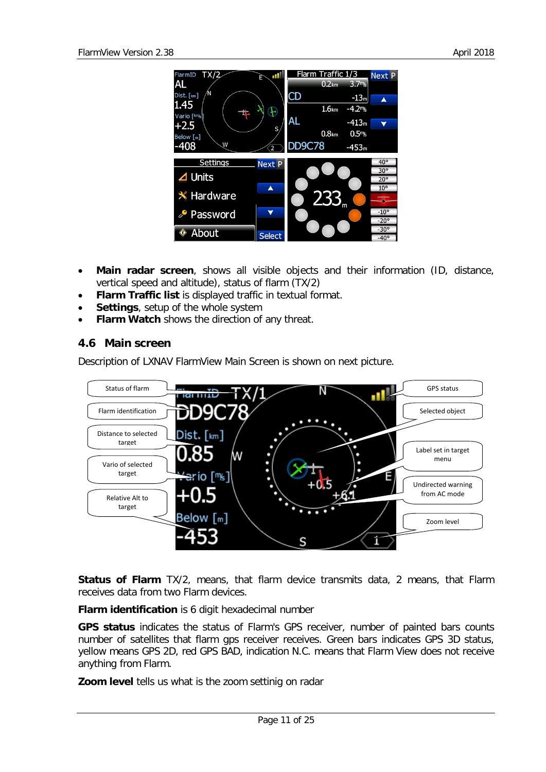

- **Main radar screen**, shows all visible objects and their information (ID, distance, vertical speed and altitude), status of flarm (TX/2)
- **Flarm Traffic list** is displayed traffic in textual format.
- **Settings**, setup of the whole system
- <span id="page-10-0"></span>**Flarm Watch** shows the direction of any threat.

# **4.6 Main screen**

Description of LXNAV FlarmView Main Screen is shown on next picture.



**Status of Flarm** TX/2, means, that flarm device transmits data, 2 means, that Flarm receives data from two Flarm devices.

**Flarm identification** is 6 digit hexadecimal number

**GPS status** indicates the status of Flarm's GPS receiver, number of painted bars counts number of satellites that flarm gps receiver receives. Green bars indicates GPS 3D status, yellow means GPS 2D, red GPS BAD, indication N.C. means that Flarm View does not receive anything from Flarm.

**Zoom level** tells us what is the zoom settinig on radar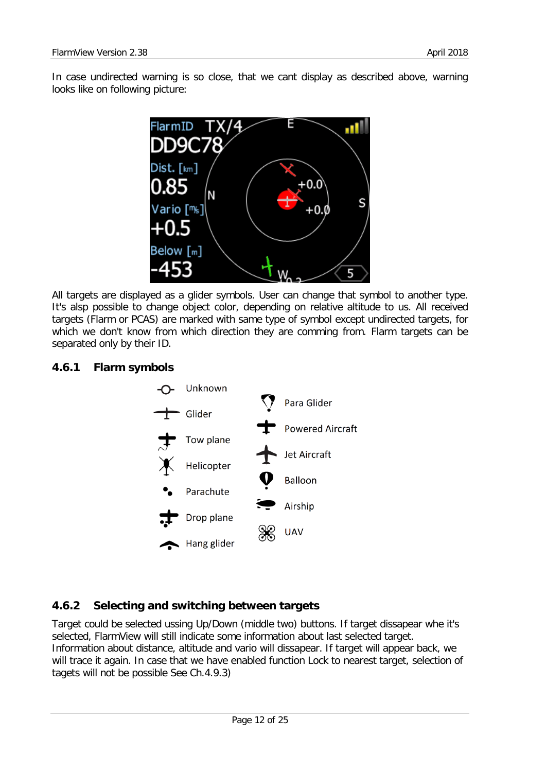In case undirected warning is so close, that we cant display as described above, warning looks like on following picture:



All targets are displayed as a glider symbols. User can change that symbol to another type. It's alsp possible to change object color, depending on relative altitude to us. All received targets (Flarm or PCAS) are marked with same type of symbol except undirected targets, for which we don't know from which direction they are comming from. Flarm targets can be separated only by their ID.



## <span id="page-11-0"></span>**4.6.1 Flarm symbols**

# <span id="page-11-1"></span>**4.6.2 Selecting and switching between targets**

Target could be selected ussing Up/Down (middle two) buttons. If target dissapear whe it's selected, FlarmView will still indicate some information about last selected target. Information about distance, altitude and vario will dissapear. If target will appear back, we will trace it again. In case that we have enabled function Lock to nearest target, selection of tagets will not be possible See Ch[.4.9.3\)](#page-14-0)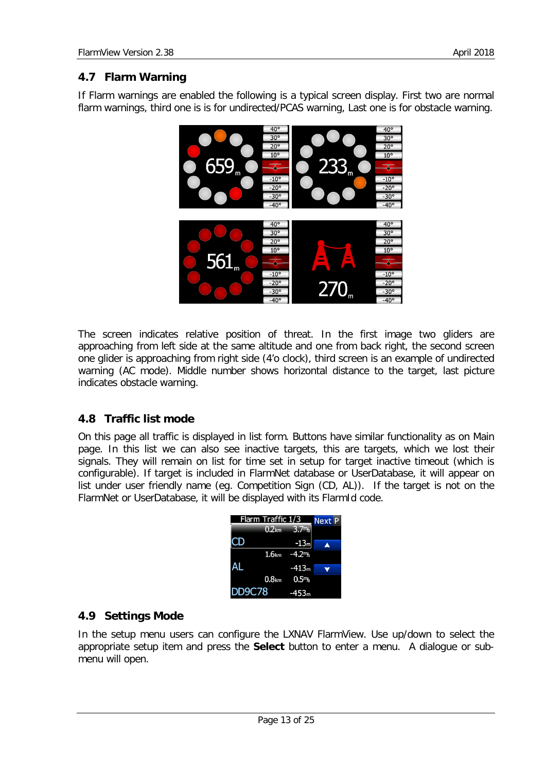# <span id="page-12-0"></span>**4.7 Flarm Warning**

If Flarm warnings are enabled the following is a typical screen display. First two are normal flarm warnings, third one is is for undirected/PCAS warning, Last one is for obstacle warning.



The screen indicates relative position of threat. In the first image two gliders are approaching from left side at the same altitude and one from back right, the second screen one glider is approaching from right side (4'o clock), third screen is an example of undirected warning (AC mode). Middle number shows horizontal distance to the target, last picture indicates obstacle warning.

# <span id="page-12-1"></span>**4.8 Traffic list mode**

On this page all traffic is displayed in list form. Buttons have similar functionality as on Main page. In this list we can also see inactive targets, this are targets, which we lost their signals. They will remain on list for time set in setup for target inactive timeout (which is configurable). If target is included in FlarmNet database or UserDatabase, it will appear on list under user friendly name (eg. Competition Sign (CD, AL)). If the target is not on the FlarmNet or UserDatabase, it will be displayed with its FlarmId code.

| Flarm Traffic 1/3<br>Next P |                   |                 |  |
|-----------------------------|-------------------|-----------------|--|
|                             | 0.2 <sub>km</sub> | 3.7m            |  |
|                             |                   | $-13m$          |  |
|                             |                   | $1.6km -4.2m/s$ |  |
|                             |                   | $-413m$         |  |
|                             |                   | $0.8km$ $0.5m$  |  |
| <b>DD9C78</b>               |                   | $-453m$         |  |

# <span id="page-12-2"></span>**4.9 Settings Mode**

In the setup menu users can configure the LXNAV FlarmView. Use up/down to select the appropriate setup item and press the **Select** button to enter a menu. A dialogue or submenu will open.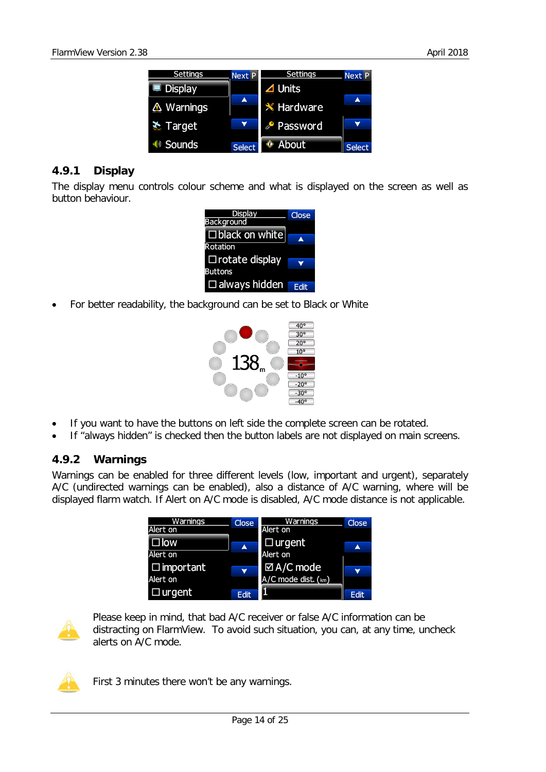

## <span id="page-13-0"></span>**4.9.1 Display**

The display menu controls colour scheme and what is displayed on the screen as well as button behaviour.

- Display **Close** Background  $\square$  black on white Rotation □ rotate display **Buttons**  $\Box$  always hidden  $\Box$  Edit
- For better readability, the background can be set to Black or White



- If you want to have the buttons on left side the complete screen can be rotated.
- <span id="page-13-1"></span>If "always hidden" is checked then the button labels are not displayed on main screens.

#### **4.9.2 Warnings**

Warnings can be enabled for three different levels (low, important and urgent), separately A/C (undirected warnings can be enabled), also a distance of A/C warning, where will be displayed flarm watch. If Alert on A/C mode is disabled, A/C mode distance is not applicable.





Please keep in mind, that bad A/C receiver or false A/C information can be distracting on FlarmView. To avoid such situation, you can, at any time, uncheck alerts on A/C mode.



First 3 minutes there won't be any warnings.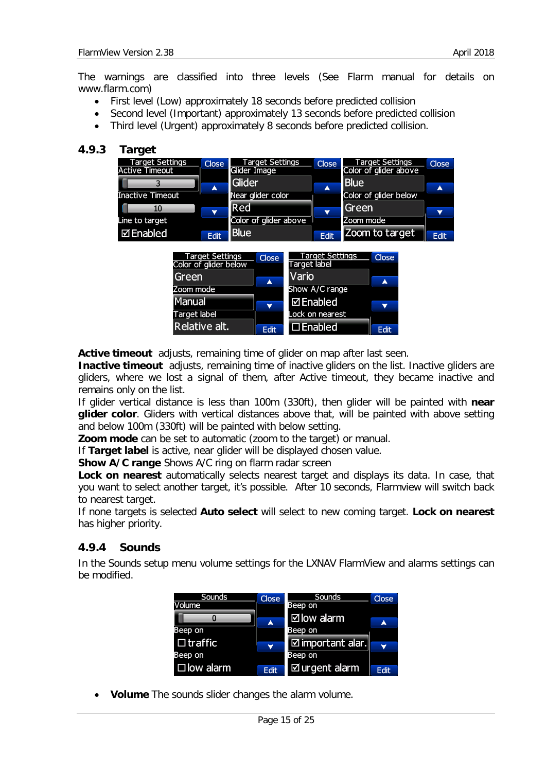The warnings are classified into three levels (See Flarm manual for details on www.flarm.com)

- First level (Low) approximately 18 seconds before predicted collision
- Second level (Important) approximately 13 seconds before predicted collision
- Third level (Urgent) approximately 8 seconds before predicted collision.

#### <span id="page-14-0"></span>**4.9.3 Target**



 $\mathbf{v}$ 

Edit

**Active timeout** adjusts, remaining time of glider on map after last seen.

**Inactive timeout** adjusts, remaining time of inactive gliders on the list. Inactive gliders are gliders, where we lost a signal of them, after Active timeout, they became inactive and remains only on the list.

**⊠Enabled** 

 $\Box$  Enabled

Lock on nearest

 $\overline{\phantom{a}}$ 

**Fdit** 

If glider vertical distance is less than 100m (330ft), then glider will be painted with **near glider color**. Gliders with vertical distances above that, will be painted with above setting and below 100m (330ft) will be painted with below setting.

**Zoom mode** can be set to automatic (zoom to the target) or manual.

If **Target label** is active, near glider will be displayed chosen value.

**Show A/C range** Shows A/C ring on flarm radar screen

Manual

Target label Relative alt.

**Lock on nearest** automatically selects nearest target and displays its data. In case, that you want to select another target, it's possible. After 10 seconds, Flarmview will switch back to nearest target.

If none targets is selected **Auto select** will select to new coming target. **Lock on nearest** has higher priority.

#### <span id="page-14-1"></span>**4.9.4 Sounds**

In the Sounds setup menu volume settings for the LXNAV FlarmView and alarms settings can be modified.

| Sounds           | <b>Close</b>         | Sounds                                 | <b>Close</b> |
|------------------|----------------------|----------------------------------------|--------------|
| Volume           |                      | Beep on                                |              |
|                  | $\blacktriangle$     | $\boxdot$ low alarm                    | A            |
| Beep on          |                      | Beep on                                |              |
| $\Box$ traffic   |                      | $\mid$ $\varXi$ important alar. $\mid$ |              |
| Beep on          | $\blacktriangledown$ | Beep on                                | v            |
| $\Box$ low alarm | <b>Edit</b>          | $\boxtimes$ urgent alarm               | Edit         |

• **Volume** The sounds slider changes the alarm volume.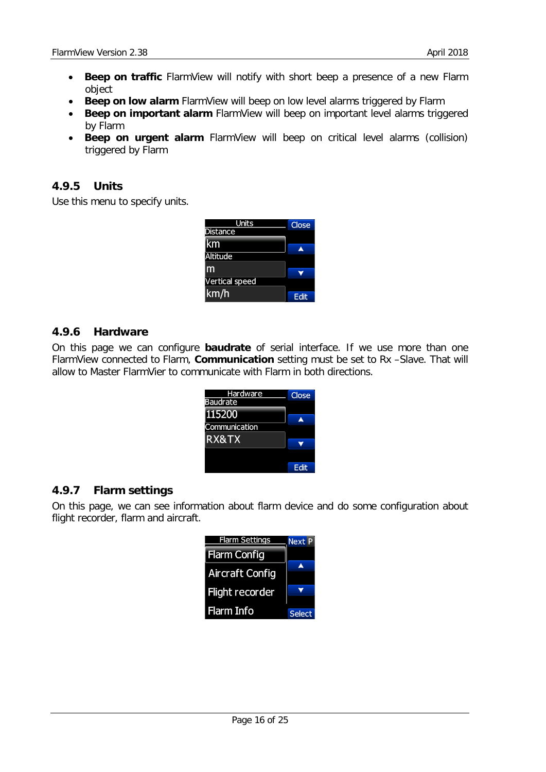- **Beep on traffic** FlarmView will notify with short beep a presence of a new Flarm object
- **Beep on low alarm** FlarmView will beep on low level alarms triggered by Flarm
- **Beep on important alarm** FlarmView will beep on important level alarms triggered by Flarm
- **Beep on urgent alarm** FlarmView will beep on critical level alarms (collision) triggered by Flarm

## <span id="page-15-0"></span>**4.9.5 Units**

Use this menu to specify units.

| Units                 | <b>Close</b> |
|-----------------------|--------------|
| Distance              |              |
| km                    | ▲            |
| <b>Altitude</b>       |              |
| m                     |              |
| <b>Vertical speed</b> |              |
| km/h                  | Edit         |

#### <span id="page-15-1"></span>**4.9.6 Hardware**

On this page we can configure **baudrate** of serial interface. If we use more than one FlarmView connected to Flarm, **Communication** setting must be set to Rx –Slave. That will allow to Master FlarmVier to communicate with Flarm in both directions.

| <u>Hardware</u><br><b>Baudrate</b> | Close |
|------------------------------------|-------|
| 115200                             |       |
| Communication                      |       |
| RX&TX                              |       |
|                                    |       |
|                                    |       |

#### <span id="page-15-2"></span>**4.9.7 Flarm settings**

On this page, we can see information about flarm device and do some configuration about flight recorder, flarm and aircraft.

| <b>Flarm Settings</b>  | <b>Next P</b> |
|------------------------|---------------|
| <b>Flarm Config</b>    |               |
| <b>Aircraft Config</b> |               |
| <b>Flight recorder</b> |               |
| Flarm Info             | <b>Select</b> |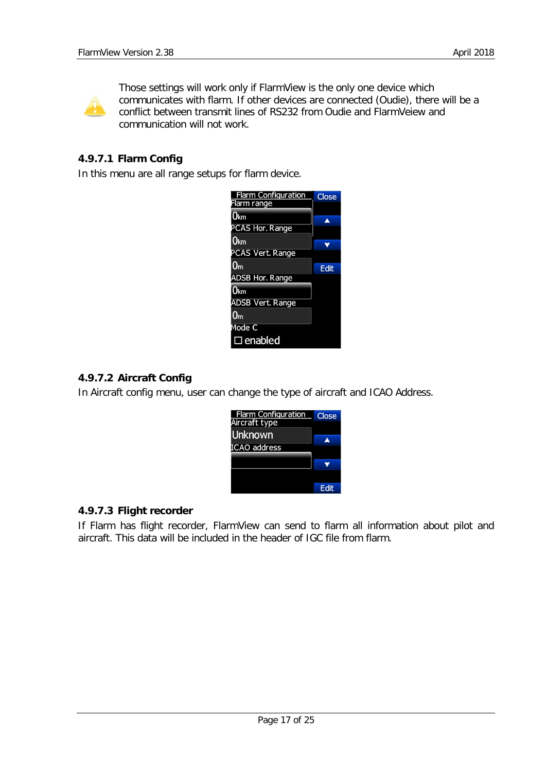

Those settings will work only if FlarmView is the only one device which communicates with flarm. If other devices are connected (Oudie), there will be a conflict between transmit lines of RS232 from Oudie and FlarmVeiew and communication will not work.

# <span id="page-16-0"></span>**4.9.7.1 Flarm Config**

In this menu are all range setups for flarm device.



## <span id="page-16-1"></span>**4.9.7.2 Aircraft Config**

In Aircraft config menu, user can change the type of aircraft and ICAO Address.



# <span id="page-16-2"></span>**4.9.7.3 Flight recorder**

If Flarm has flight recorder, FlarmView can send to flarm all information about pilot and aircraft. This data will be included in the header of IGC file from flarm.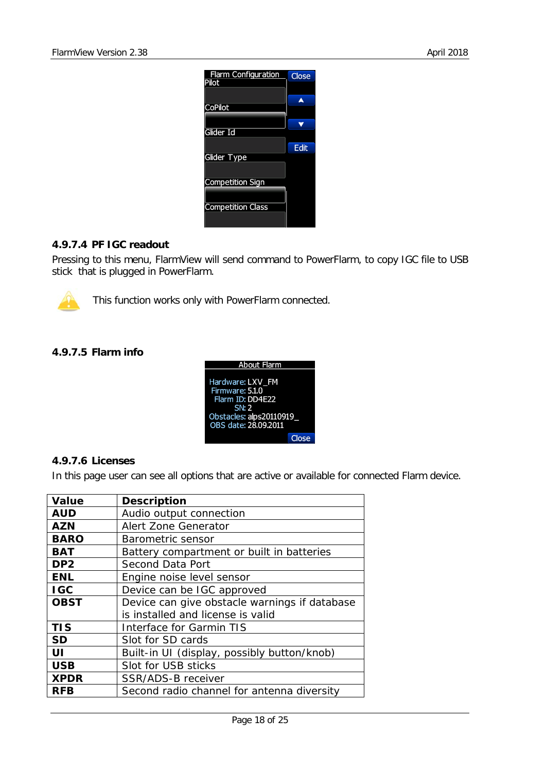

#### <span id="page-17-0"></span>**4.9.7.4 PF IGC readout**

Pressing to this menu, FlarmView will send command to PowerFlarm, to copy IGC file to USB stick that is plugged in PowerFlarm.



This function works only with PowerFlarm connected.

#### <span id="page-17-1"></span>**4.9.7.5 Flarm info**



#### <span id="page-17-2"></span>**4.9.7.6 Licenses**

In this page user can see all options that are active or available for connected Flarm device.

| <b>Value</b>    | <b>Description</b>                                                                 |
|-----------------|------------------------------------------------------------------------------------|
| <b>AUD</b>      | Audio output connection                                                            |
| AZN             | <b>Alert Zone Generator</b>                                                        |
| <b>BARO</b>     | Barometric sensor                                                                  |
| BAT             | Battery compartment or built in batteries                                          |
| DP <sub>2</sub> | Second Data Port                                                                   |
| <b>ENL</b>      | Engine noise level sensor                                                          |
| <b>IGC</b>      | Device can be IGC approved                                                         |
| OBST            | Device can give obstacle warnings if database<br>is installed and license is valid |
| <b>TIS</b>      | Interface for Garmin TIS                                                           |
| <b>SD</b>       | Slot for SD cards                                                                  |
| UI              | Built-in UI (display, possibly button/knob)                                        |
| <b>USB</b>      | Slot for USB sticks                                                                |
| <b>XPDR</b>     | SSR/ADS-B receiver                                                                 |
| <b>RFB</b>      | Second radio channel for antenna diversity                                         |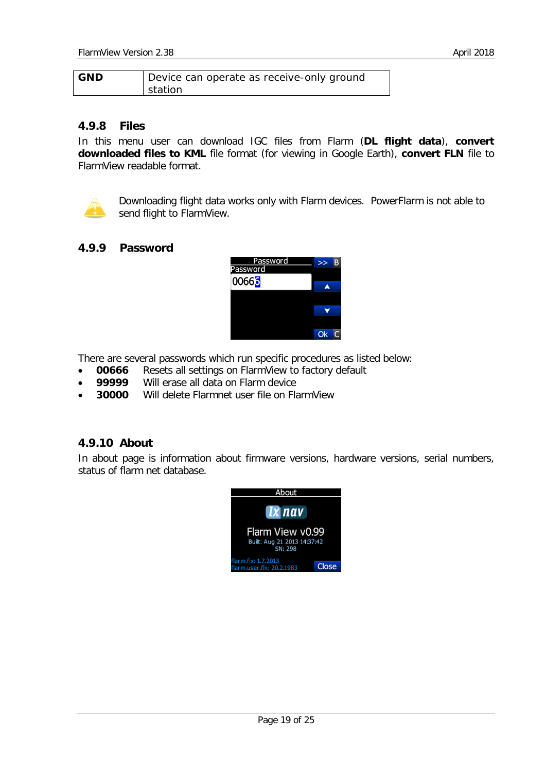| <b>GND</b> | Device can operate as receive-only ground |
|------------|-------------------------------------------|
|            | station                                   |

#### <span id="page-18-0"></span>**4.9.8 Files**

In this menu user can download IGC files from Flarm (**DL flight data**), **convert downloaded files to KML** file format (for viewing in Google Earth), **convert FLN** file to FlarmView readable format.



Downloading flight data works only with Flarm devices. PowerFlarm is not able to send flight to FlarmView.

#### <span id="page-18-1"></span>**4.9.9 Password**



There are several passwords which run specific procedures as listed below:

- **00666** Resets all settings on FlarmView to factory default <br>99999 Will erase all data on Flarm device
- **99999** Will erase all data on Flarm device
- **30000** Will delete Flarmnet user file on FlarmView

#### <span id="page-18-2"></span>**4.9.10 About**

In about page is information about firmware versions, hardware versions, serial numbers, status of flarm net database.

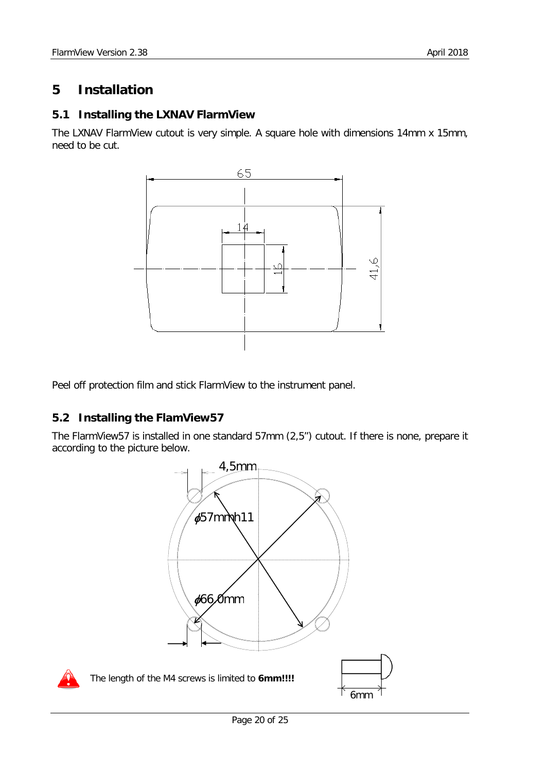# <span id="page-19-0"></span>**5 Installation**

## <span id="page-19-1"></span>**5.1 Installing the LXNAV FlarmView**

The LXNAV FlarmView cutout is very simple. A square hole with dimensions 14mm x 15mm, need to be cut.



Peel off protection film and stick FlarmView to the instrument panel.

# <span id="page-19-2"></span>**5.2 Installing the FlamView57**

The FlarmView57 is installed in one standard 57mm (2,5'') cutout. If there is none, prepare it according to the picture below.

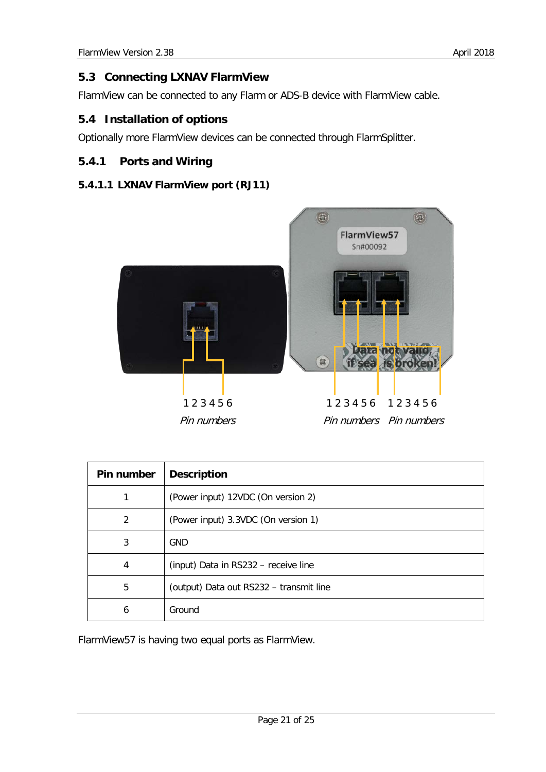# <span id="page-20-0"></span>**5.3 Connecting LXNAV FlarmView**

FlarmView can be connected to any Flarm or ADS-B device with FlarmView cable.

# <span id="page-20-1"></span>**5.4 Installation of options**

Optionally more FlarmView devices can be connected through FlarmSplitter.

# <span id="page-20-2"></span>**5.4.1 Ports and Wiring**

#### <span id="page-20-3"></span>**5.4.1.1 LXNAV FlarmView port (RJ11)**



| Pin number | <b>Description</b>                      |
|------------|-----------------------------------------|
|            | (Power input) 12VDC (On version 2)      |
| 2          | (Power input) 3.3VDC (On version 1)     |
| 3          | <b>GND</b>                              |
| 4          | (input) Data in RS232 - receive line    |
| 5          | (output) Data out RS232 - transmit line |
| 6          | Ground                                  |

FlarmView57 is having two equal ports as FlarmView.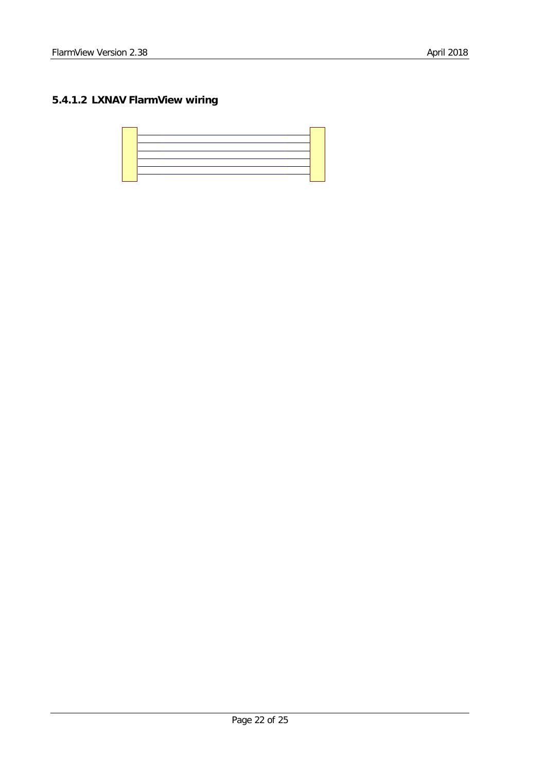# <span id="page-21-0"></span>**5.4.1.2 LXNAV FlarmView wiring**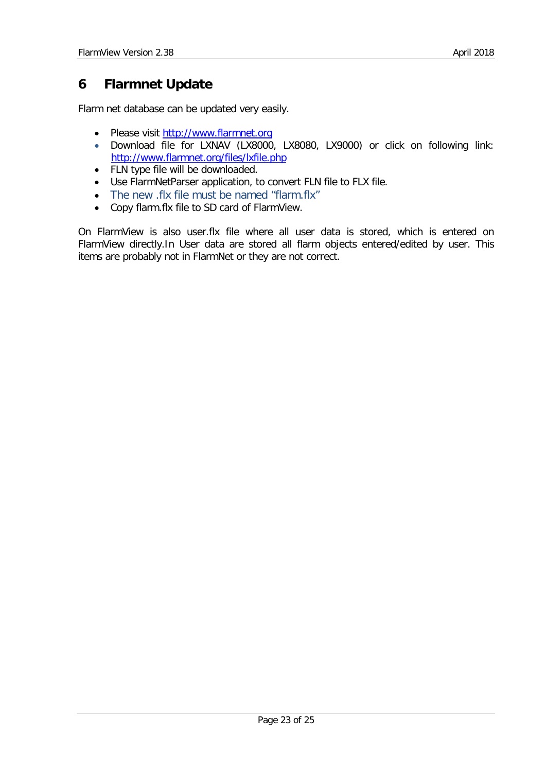# <span id="page-22-0"></span>**6 Flarmnet Update**

Flarm net database can be updated very easily.

- Please visit [http://www.flarmnet.org](http://www.flarmnet.org/)
- Download file for LXNAV (LX8000, LX8080, LX9000) or click on following link: <http://www.flarmnet.org/files/lxfile.php>
- FLN type file will be downloaded.
- Use FlarmNetParser application, to convert FLN file to FLX file.
- The new .flx file must be named "flarm.flx"
- Copy flarm.flx file to SD card of FlarmView.

On FlarmView is also user.flx file where all user data is stored, which is entered on FlarmView directly.In User data are stored all flarm objects entered/edited by user. This items are probably not in FlarmNet or they are not correct.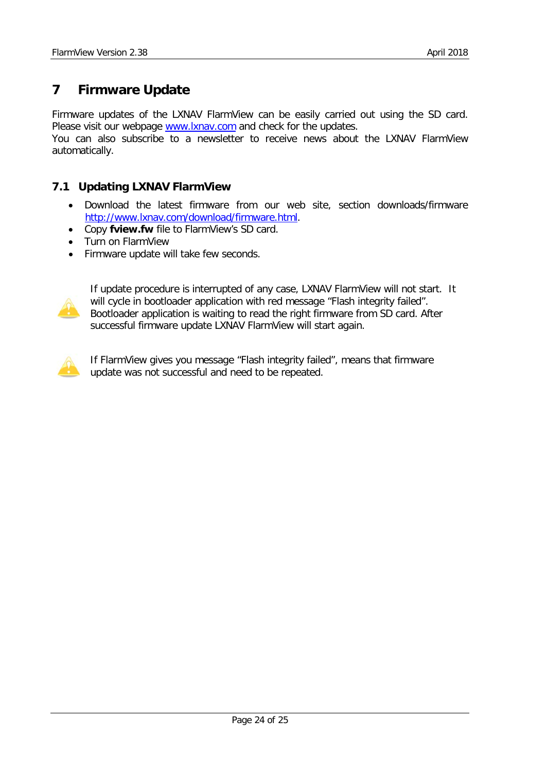# <span id="page-23-0"></span>**7 Firmware Update**

Firmware updates of the LXNAV FlarmView can be easily carried out using the SD card. Please visit our webpage [www.lxnav.com](http://www.lxnav.com/) and check for the updates. You can also subscribe to a newsletter to receive news about the LXNAV FlarmView automatically.

## <span id="page-23-1"></span>**7.1 Updating LXNAV FlarmView**

- Download the latest firmware from our web site, section downloads/firmware [http://www.lxnav.com/download/firmware.html.](http://www.lxnav.com/download/firmware.html)
- Copy **fview.fw** file to FlarmView's SD card.
- Turn on FlarmView
- Firmware update will take few seconds.



If update procedure is interrupted of any case, LXNAV FlarmView will not start. It will cycle in bootloader application with red message "Flash integrity failed". Bootloader application is waiting to read the right firmware from SD card. After successful firmware update LXNAV FlarmView will start again.



If FlarmView gives you message "Flash integrity failed", means that firmware update was not successful and need to be repeated.